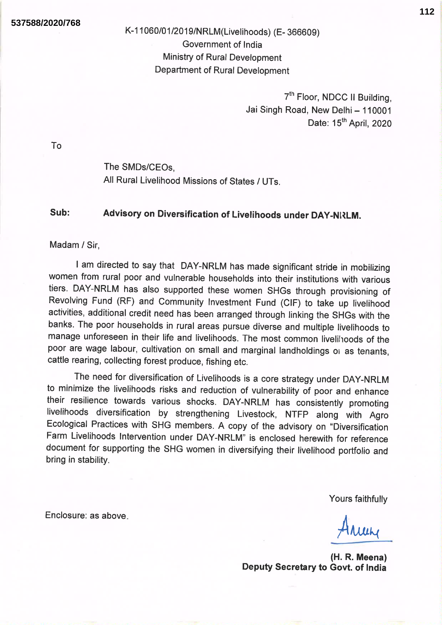K-11060/01/2019/NRLM(Livelihoods) (E-366609) Government of India Ministry of Rural Development Department of Rural Development

> 7<sup>th</sup> Floor, NDCC II Building, Jai Singh Road, New Delhi - 110001 Date: 15<sup>th</sup> April, 2020

To

The SMDs/CEOs. All Rural Livelihood Missions of States / UTs.

#### Sub: Advisory on Diversification of Livelihoods under DAY-NRLM.

Madam / Sir,

I am directed to say that DAY-NRLM has made significant stride in mobilizing women from rural poor and vulnerable households into their institutions with various tiers. DAY-NRLM has also supported these women SHGs through provisioning of Revolving Fund (RF) and Community Investment Fund (CIF) to take up livelihood activities, additional credit need has been arranged through linking the SHGs with the banks. The poor households in rural areas pursue diverse and multiple livelihoods to manage unforeseen in their life and livelihoods. The most common livelihoods of the poor are wage labour, cultivation on small and marginal landholdings or as tenants, cattle rearing, collecting forest produce, fishing etc.

The need for diversification of Livelihoods is a core strategy under DAY-NRLM to minimize the livelihoods risks and reduction of vulnerability of poor and enhance their resilience towards various shocks. DAY-NRLM has consistently promoting livelihoods diversification by strengthening Livestock, NTFP along with Agro Ecological Practices with SHG members. A copy of the advisory on "Diversification Farm Livelihoods Intervention under DAY-NRLM" is enclosed herewith for reference document for supporting the SHG women in diversifying their livelihood portfolio and bring in stability.

Yours faithfully

(H. R. Meena) Deputy Secretary to Govt. of India 112

Enclosure: as above.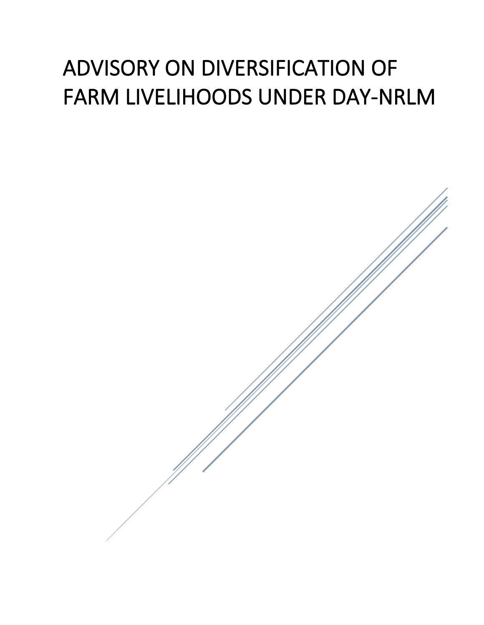# ADVISORY ON DIVERSIFICATION OF FARM LIVELIHOODS UNDER DAY-NRLM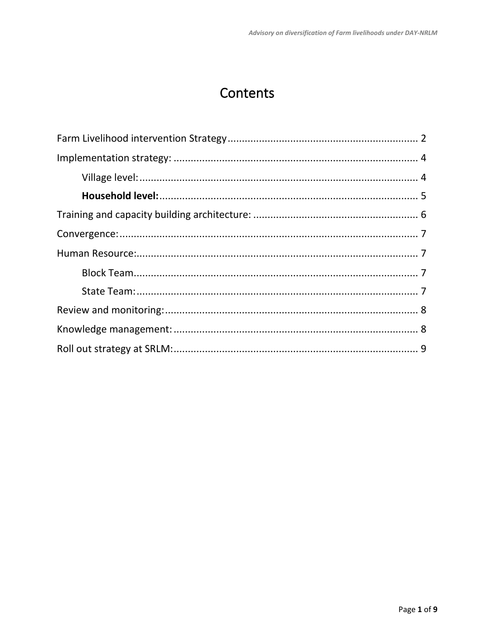# Contents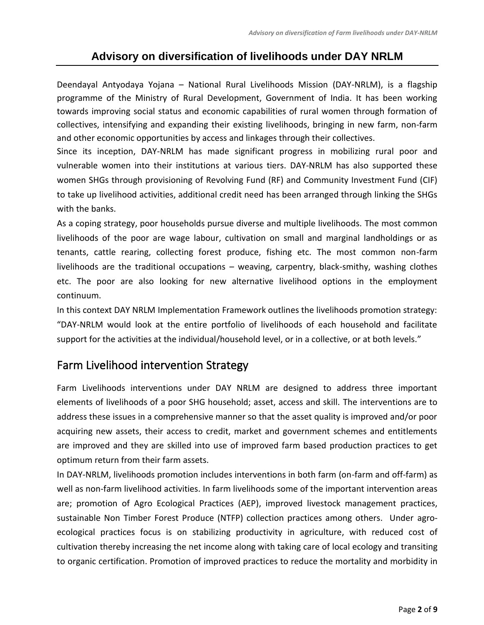# **Advisory on diversification of livelihoods under DAY NRLM**

Deendayal Antyodaya Yojana – National Rural Livelihoods Mission (DAY-NRLM), is a flagship programme of the Ministry of Rural Development, Government of India. It has been working towards improving social status and economic capabilities of rural women through formation of collectives, intensifying and expanding their existing livelihoods, bringing in new farm, non-farm and other economic opportunities by access and linkages through their collectives.

Since its inception, DAY-NRLM has made significant progress in mobilizing rural poor and vulnerable women into their institutions at various tiers. DAY-NRLM has also supported these women SHGs through provisioning of Revolving Fund (RF) and Community Investment Fund (CIF) to take up livelihood activities, additional credit need has been arranged through linking the SHGs with the banks.

As a coping strategy, poor households pursue diverse and multiple livelihoods. The most common livelihoods of the poor are wage labour, cultivation on small and marginal landholdings or as tenants, cattle rearing, collecting forest produce, fishing etc. The most common non-farm livelihoods are the traditional occupations – weaving, carpentry, black-smithy, washing clothes etc. The poor are also looking for new alternative livelihood options in the employment continuum.

In this context DAY NRLM Implementation Framework outlines the livelihoods promotion strategy: "DAY-NRLM would look at the entire portfolio of livelihoods of each household and facilitate support for the activities at the individual/household level, or in a collective, or at both levels."

## <span id="page-3-0"></span>Farm Livelihood intervention Strategy

Farm Livelihoods interventions under DAY NRLM are designed to address three important elements of livelihoods of a poor SHG household; asset, access and skill. The interventions are to address these issues in a comprehensive manner so that the asset quality is improved and/or poor acquiring new assets, their access to credit, market and government schemes and entitlements are improved and they are skilled into use of improved farm based production practices to get optimum return from their farm assets.

In DAY-NRLM, livelihoods promotion includes interventions in both farm (on-farm and off-farm) as well as non-farm livelihood activities. In farm livelihoods some of the important intervention areas are; promotion of Agro Ecological Practices (AEP), improved livestock management practices, sustainable Non Timber Forest Produce (NTFP) collection practices among others. Under agroecological practices focus is on stabilizing productivity in agriculture, with reduced cost of cultivation thereby increasing the net income along with taking care of local ecology and transiting to organic certification. Promotion of improved practices to reduce the mortality and morbidity in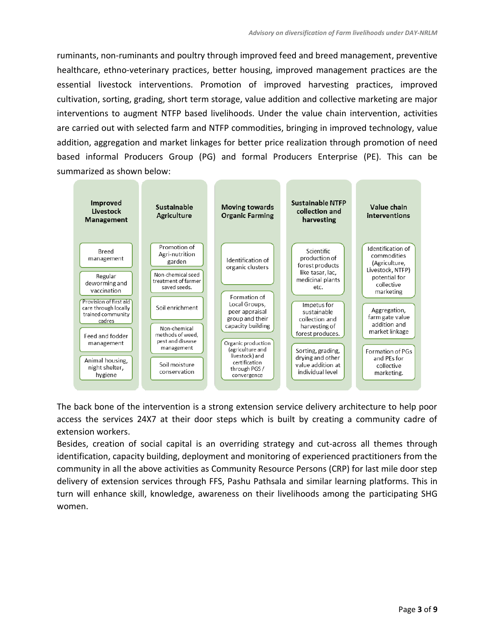ruminants, non-ruminants and poultry through improved feed and breed management, preventive healthcare, ethno-veterinary practices, better housing, improved management practices are the essential livestock interventions. Promotion of improved harvesting practices, improved cultivation, sorting, grading, short term storage, value addition and collective marketing are major interventions to augment NTFP based livelihoods. Under the value chain intervention, activities are carried out with selected farm and NTFP commodities, bringing in improved technology, value addition, aggregation and market linkages for better price realization through promotion of need based informal Producers Group (PG) and formal Producers Enterprise (PE). This can be summarized as shown below:



The back bone of the intervention is a strong extension service delivery architecture to help poor access the services 24X7 at their door steps which is built by creating a community cadre of extension workers.

Besides, creation of social capital is an overriding strategy and cut-across all themes through identification, capacity building, deployment and monitoring of experienced practitioners from the community in all the above activities as Community Resource Persons (CRP) for last mile door step delivery of extension services through FFS, Pashu Pathsala and similar learning platforms. This in turn will enhance skill, knowledge, awareness on their livelihoods among the participating SHG women.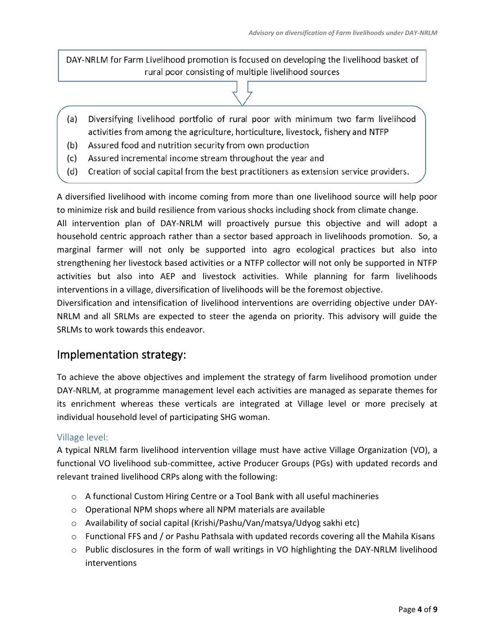DAY-NRLM for Farm Livelihood promotion is focused on developing the livelihood basket of rural poor consisting of multiple livelihood sources

- 
- Diversifying livelihood portfolio of rural poor with minimum two farm livelihood  $(a)$ activities from among the agriculture, horticulture, livestock, fishery and NTFP
- Assured food and nutrition security from own production  $(b)$
- Assured incremental income stream throughout the year and (c)
- (d) Creation of social capital from the best practitioners as extension service providers.

A diversified livelihood with income coming from more than one livelihood source will help poor to minimize risk and build resilience from various shocks including shock from climate change.

All intervention plan of DAY-NRLM will proactively pursue this objective and will adopt a household centric approach rather than a sector based approach in livelihoods promotion. So, a marginal farmer will not only be supported into agro ecological practices but also into strengthening her livestock based activities or a NTFP collector will not only be supported in NTFP activities but also into AEP and livestock activities. While planning for farm livelihoods interventions in a village, diversification of livelihoods will be the foremost objective.

Diversification and intensification of livelihood interventions are overriding objective under DAY-NRLM and all SRLMs are expected to steer the agenda on priority. This advisory will guide the SRLMs to work towards this endeavor.

#### <span id="page-5-0"></span>Implementation strategy:

To achieve the above objectives and implement the strategy of farm livelihood promotion under DAY-NRLM, at programme management level each activities are managed as separate themes for its enrichment whereas these verticals are integrated at Village level or more precisely at individual household level of participating SHG woman.

#### <span id="page-5-1"></span>Village level:

A typical NRLM farm livelihood intervention village must have active Village Organization (VO), a functional VO livelihood sub-committee, active Producer Groups (PGs) with updated records and relevant trained livelihood CRPs along with the following:

- o A functional Custom Hiring Centre or a Tool Bank with all useful machineries
- o Operational NPM shops where all NPM materials are available
- o Availability of social capital (Krishi/Pashu/Van/matsya/Udyog sakhi etc)
- $\circ$  Functional FFS and / or Pashu Pathsala with updated records covering all the Mahila Kisans
- o Public disclosures in the form of wall writings in VO highlighting the DAY-NRLM livelihood interventions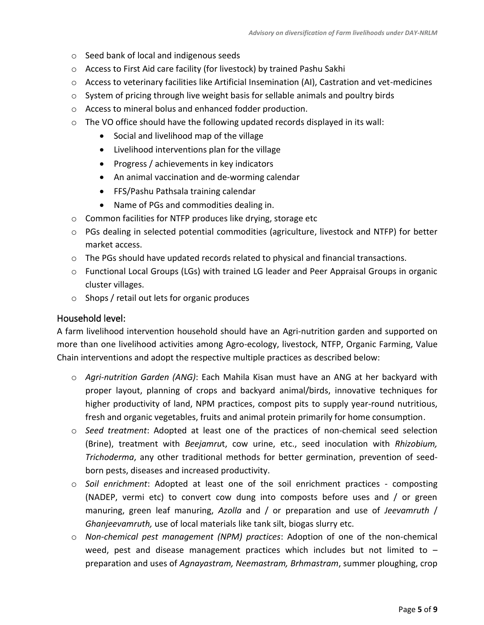- o Seed bank of local and indigenous seeds
- o Access to First Aid care facility (for livestock) by trained Pashu Sakhi
- o Access to veterinary facilities like Artificial Insemination (AI), Castration and vet-medicines
- $\circ$  System of pricing through live weight basis for sellable animals and poultry birds
- o Access to mineral bolus and enhanced fodder production.
- $\circ$  The VO office should have the following updated records displayed in its wall:
	- Social and livelihood map of the village
	- Livelihood interventions plan for the village
	- Progress / achievements in key indicators
	- An animal vaccination and de-worming calendar
	- FFS/Pashu Pathsala training calendar
	- Name of PGs and commodities dealing in.
- o Common facilities for NTFP produces like drying, storage etc
- $\circ$  PGs dealing in selected potential commodities (agriculture, livestock and NTFP) for better market access.
- $\circ$  The PGs should have updated records related to physical and financial transactions.
- o Functional Local Groups (LGs) with trained LG leader and Peer Appraisal Groups in organic cluster villages.
- o Shops / retail out lets for organic produces

#### <span id="page-6-0"></span>Household level:

A farm livelihood intervention household should have an Agri-nutrition garden and supported on more than one livelihood activities among Agro-ecology, livestock, NTFP, Organic Farming, Value Chain interventions and adopt the respective multiple practices as described below:

- o *Agri-nutrition Garden (ANG)*: Each Mahila Kisan must have an ANG at her backyard with proper layout, planning of crops and backyard animal/birds, innovative techniques for higher productivity of land, NPM practices, compost pits to supply year-round nutritious, fresh and organic vegetables, fruits and animal protein primarily for home consumption.
- o *Seed treatment*: Adopted at least one of the practices of non-chemical seed selection (Brine), treatment with *Beejamru*t, cow urine, etc., seed inoculation with *Rhizobium, Trichoderma*, any other traditional methods for better germination, prevention of seedborn pests, diseases and increased productivity.
- o *Soil enrichment*: Adopted at least one of the soil enrichment practices composting (NADEP, vermi etc) to convert cow dung into composts before uses and / or green manuring, green leaf manuring, *Azolla* and / or preparation and use of *Jeevamruth* / *Ghanjeevamruth,* use of local materials like tank silt, biogas slurry etc.
- o *Non-chemical pest management (NPM) practices*: Adoption of one of the non-chemical weed, pest and disease management practices which includes but not limited to  $$ preparation and uses of *Agnayastram, Neemastram, Brhmastram*, summer ploughing, crop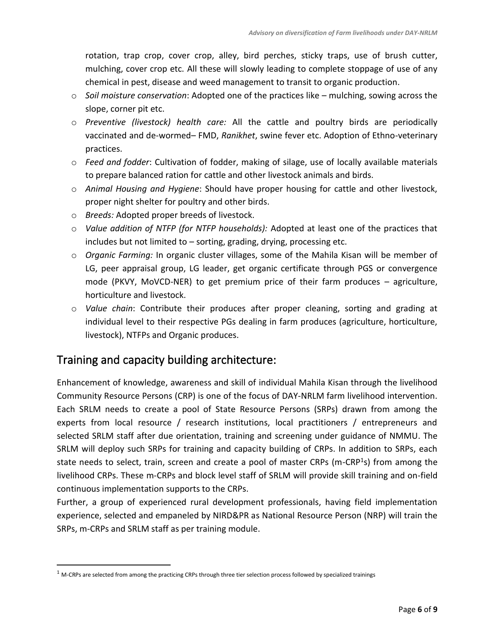rotation, trap crop, cover crop, alley, bird perches, sticky traps, use of brush cutter, mulching, cover crop etc. All these will slowly leading to complete stoppage of use of any chemical in pest, disease and weed management to transit to organic production.

- o *Soil moisture conservation*: Adopted one of the practices like mulching, sowing across the slope, corner pit etc.
- o *Preventive (livestock) health care:* All the cattle and poultry birds are periodically vaccinated and de-wormed– FMD, *Ranikhet*, swine fever etc. Adoption of Ethno-veterinary practices.
- o *Feed and fodder*: Cultivation of fodder, making of silage, use of locally available materials to prepare balanced ration for cattle and other livestock animals and birds.
- o *Animal Housing and Hygiene*: Should have proper housing for cattle and other livestock, proper night shelter for poultry and other birds.
- o *Breeds:* Adopted proper breeds of livestock.
- o *Value addition of NTFP (for NTFP households):* Adopted at least one of the practices that includes but not limited to – sorting, grading, drying, processing etc.
- o *Organic Farming:* In organic cluster villages, some of the Mahila Kisan will be member of LG, peer appraisal group, LG leader, get organic certificate through PGS or convergence mode (PKVY, MoVCD-NER) to get premium price of their farm produces – agriculture, horticulture and livestock.
- o *Value chain*: Contribute their produces after proper cleaning, sorting and grading at individual level to their respective PGs dealing in farm produces (agriculture, horticulture, livestock), NTFPs and Organic produces.

## <span id="page-7-0"></span>Training and capacity building architecture:

Enhancement of knowledge, awareness and skill of individual Mahila Kisan through the livelihood Community Resource Persons (CRP) is one of the focus of DAY-NRLM farm livelihood intervention. Each SRLM needs to create a pool of State Resource Persons (SRPs) drawn from among the experts from local resource / research institutions, local practitioners / entrepreneurs and selected SRLM staff after due orientation, training and screening under guidance of NMMU. The SRLM will deploy such SRPs for training and capacity building of CRPs. In addition to SRPs, each state needs to select, train, screen and create a pool of master CRPs (m-CRP<sup>1</sup>s) from among the livelihood CRPs. These m-CRPs and block level staff of SRLM will provide skill training and on-field continuous implementation supports to the CRPs.

Further, a group of experienced rural development professionals, having field implementation experience, selected and empaneled by NIRD&PR as National Resource Person (NRP) will train the SRPs, m-CRPs and SRLM staff as per training module.

 $1$  M-CRPs are selected from among the practicing CRPs through three tier selection process followed by specialized trainings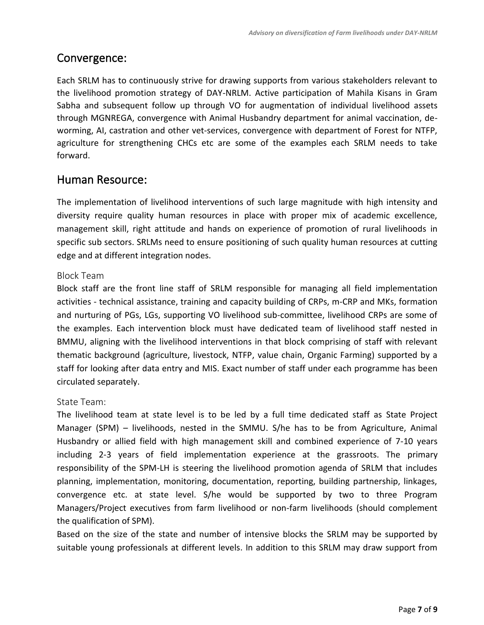#### <span id="page-8-0"></span>Convergence:

Each SRLM has to continuously strive for drawing supports from various stakeholders relevant to the livelihood promotion strategy of DAY-NRLM. Active participation of Mahila Kisans in Gram Sabha and subsequent follow up through VO for augmentation of individual livelihood assets through MGNREGA, convergence with Animal Husbandry department for animal vaccination, deworming, AI, castration and other vet-services, convergence with department of Forest for NTFP, agriculture for strengthening CHCs etc are some of the examples each SRLM needs to take forward.

## <span id="page-8-1"></span>Human Resource:

The implementation of livelihood interventions of such large magnitude with high intensity and diversity require quality human resources in place with proper mix of academic excellence, management skill, right attitude and hands on experience of promotion of rural livelihoods in specific sub sectors. SRLMs need to ensure positioning of such quality human resources at cutting edge and at different integration nodes.

#### <span id="page-8-2"></span>Block Team

Block staff are the front line staff of SRLM responsible for managing all field implementation activities - technical assistance, training and capacity building of CRPs, m-CRP and MKs, formation and nurturing of PGs, LGs, supporting VO livelihood sub-committee, livelihood CRPs are some of the examples. Each intervention block must have dedicated team of livelihood staff nested in BMMU, aligning with the livelihood interventions in that block comprising of staff with relevant thematic background (agriculture, livestock, NTFP, value chain, Organic Farming) supported by a staff for looking after data entry and MIS. Exact number of staff under each programme has been circulated separately.

#### <span id="page-8-3"></span>State Team:

The livelihood team at state level is to be led by a full time dedicated staff as State Project Manager (SPM) – livelihoods, nested in the SMMU. S/he has to be from Agriculture, Animal Husbandry or allied field with high management skill and combined experience of 7-10 years including 2-3 years of field implementation experience at the grassroots. The primary responsibility of the SPM-LH is steering the livelihood promotion agenda of SRLM that includes planning, implementation, monitoring, documentation, reporting, building partnership, linkages, convergence etc. at state level. S/he would be supported by two to three Program Managers/Project executives from farm livelihood or non-farm livelihoods (should complement the qualification of SPM).

Based on the size of the state and number of intensive blocks the SRLM may be supported by suitable young professionals at different levels. In addition to this SRLM may draw support from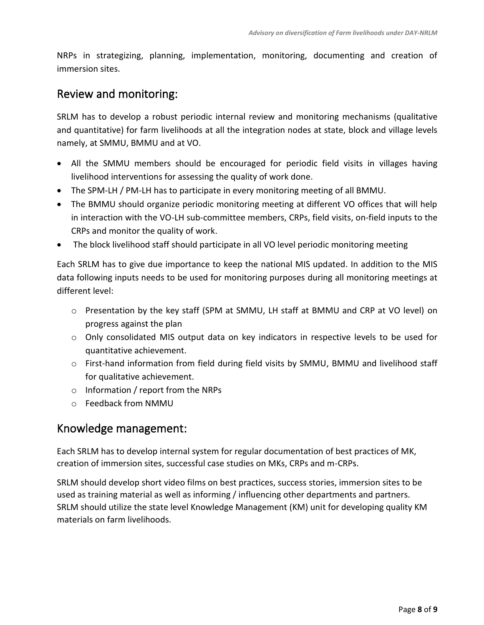NRPs in strategizing, planning, implementation, monitoring, documenting and creation of immersion sites.

#### <span id="page-9-0"></span>Review and monitoring:

SRLM has to develop a robust periodic internal review and monitoring mechanisms (qualitative and quantitative) for farm livelihoods at all the integration nodes at state, block and village levels namely, at SMMU, BMMU and at VO.

- All the SMMU members should be encouraged for periodic field visits in villages having livelihood interventions for assessing the quality of work done.
- The SPM-LH / PM-LH has to participate in every monitoring meeting of all BMMU.
- The BMMU should organize periodic monitoring meeting at different VO offices that will help in interaction with the VO-LH sub-committee members, CRPs, field visits, on-field inputs to the CRPs and monitor the quality of work.
- The block livelihood staff should participate in all VO level periodic monitoring meeting

Each SRLM has to give due importance to keep the national MIS updated. In addition to the MIS data following inputs needs to be used for monitoring purposes during all monitoring meetings at different level:

- o Presentation by the key staff (SPM at SMMU, LH staff at BMMU and CRP at VO level) on progress against the plan
- o Only consolidated MIS output data on key indicators in respective levels to be used for quantitative achievement.
- $\circ$  First-hand information from field during field visits by SMMU, BMMU and livelihood staff for qualitative achievement.
- o Information / report from the NRPs
- o Feedback from NMMU

## <span id="page-9-1"></span>Knowledge management:

Each SRLM has to develop internal system for regular documentation of best practices of MK, creation of immersion sites, successful case studies on MKs, CRPs and m-CRPs.

SRLM should develop short video films on best practices, success stories, immersion sites to be used as training material as well as informing / influencing other departments and partners. SRLM should utilize the state level Knowledge Management (KM) unit for developing quality KM materials on farm livelihoods.